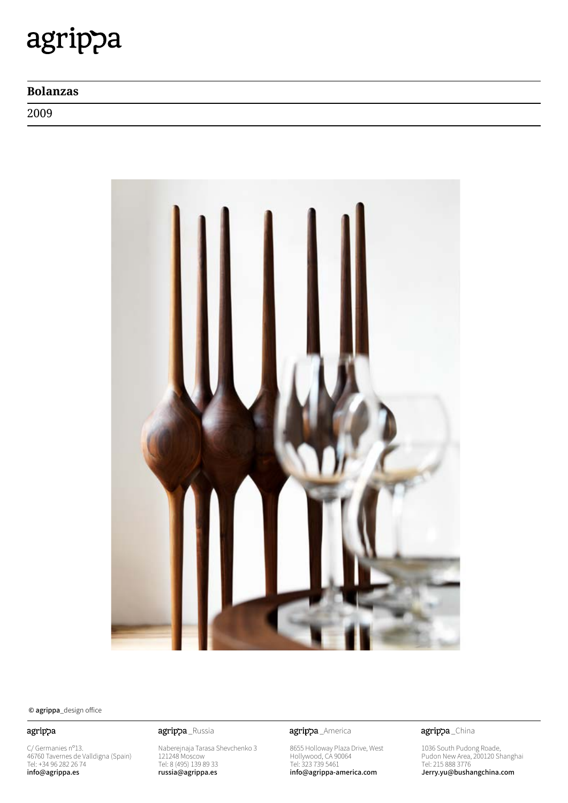## agrippa

### **Bolanzas**

2009



© agrippa\_design office

### agrippa

C/ Germanies nº13. 46760 Tavernes de Valldigna (Spain) Tel: +34 96 282 26 74 info@agrippa.es

Naberejnaja Tarasa Shevchenko 3 121248 Moscow Tel: 8 (495) 139 89 33 russia@agrippa.es

agrippa\_Russia **agrippa**\_America

8655 Holloway Plaza Drive, West Hollywood, CA 90064 Tel: 323 739 5461 info@agrippa-america.com

agrippa\_China

1036 South Pudong Roade, Pudon New Area, 200120 Shanghai Tel: 215 888 3776 Jerry.yu@bushangchina.com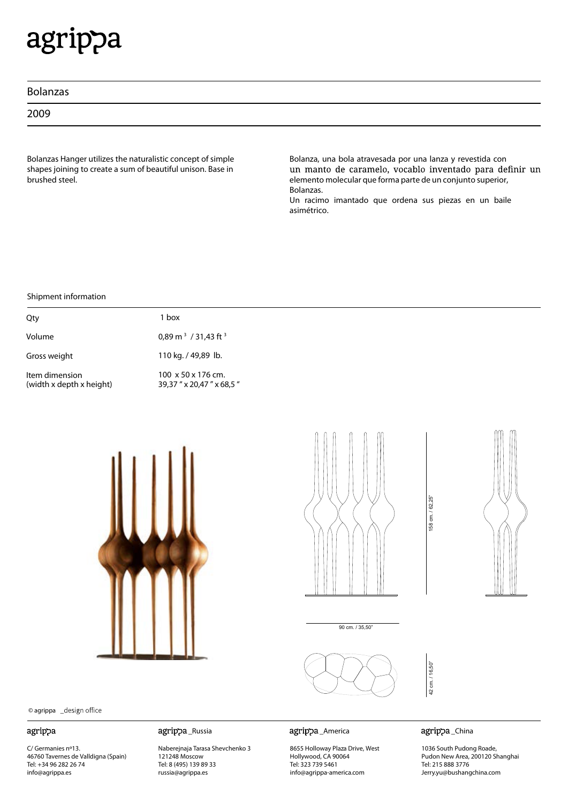# agrippa

2009

Bolanzas Hanger utilizes the naturalistic concept of simple shapes joining to create a sum of beautiful unison. Base in brushed steel.

Bolanza, una bola atravesada por una lanza y revestida con<br>un manto de caramelo, vocablo inventado para definir un elemento molecular que forma parte de un conjunto superior, Bolanzas.

Un racimo imantado que ordena sus piezas en un baile asimétrico.

Shipment information

| Qty                                        | 1 hox                                                        |
|--------------------------------------------|--------------------------------------------------------------|
| Volume                                     | 0,89 m <sup>3</sup> / 31,43 ft <sup>3</sup>                  |
| Gross weight                               | 110 kg. / 49,89 lb.                                          |
| Item dimension<br>(width x depth x height) | $100 \times 50 \times 176$ cm.<br>39,37 " x 20,47 " x 68,5 " |







90 cm. / 35,50"



© agrippa \_design office

#### agrippa

C/ Germanies nº13. 46760 Tavernes de Valldigna (Spain) Tel: +34 96 282 26 74 info@agrippa.es

\_Russia \_America

Naberejnaja Tarasa Shevchenko 3 121248 Moscow Tel: 8 (495) 139 89 33 russia@agrippa.es

8655 Holloway Plaza Drive, West Hollywood, CA 90064 Tel: 323 739 5461 info@agrippa-america.com

agrippa\_China

42 cm. / 16,50"

42 cm. / 16,50"

158 cm. / 62,25"

158 cm. / 62,25"

1036 South Pudong Roade, Pudon New Area, 200120 Shanghai Tel: 215 888 3776 Jerry.yu@bushangchina.com